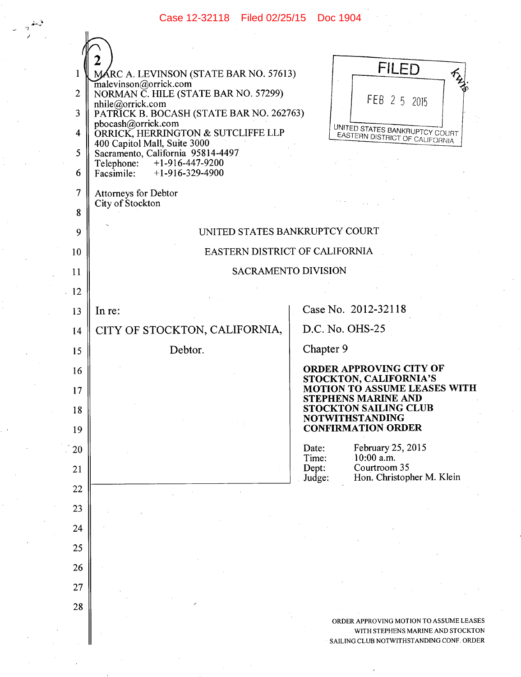Case 12-32118 Filed 02/25/15 Doc 1904

|                | MÁRC A. LEVINSON (STATE BAR NO. 57613)                            | <b>FILED</b>                                                                 |
|----------------|-------------------------------------------------------------------|------------------------------------------------------------------------------|
| $\overline{2}$ | malevinson@orrick.com<br>NORMAN C. HILE (STATE BAR NO. 57299)     | try.                                                                         |
| 3              | nhile@orrick.com<br>PATRICK B. BOCASH (STATE BAR NO. 262763)      | FEB 2 5 2015                                                                 |
| 4              | pbocash@orrick.com<br>ORRICK, HERRINGTON & SUTCLIFFE LLP          | UNITED STATES BANKRUPTCY COURT                                               |
| 5              | 400 Capitol Mall, Suite 3000<br>Sacramento, California 95814-4497 | EASTERN DISTRICT OF CALIFORNIA                                               |
| 6              | Telephone: +1-916-447-9200<br>Facsimile:<br>$+1-916-329-4900$     |                                                                              |
| 7              | Attorneys for Debtor                                              |                                                                              |
| 8              | City of Stockton                                                  |                                                                              |
| 9              |                                                                   | UNITED STATES BANKRUPTCY COURT                                               |
| 10             | EASTERN DISTRICT OF CALIFORNIA                                    |                                                                              |
| 11             | SACRAMENTO DIVISION                                               |                                                                              |
| $\cdot$ 12     |                                                                   |                                                                              |
| 13             | In re:                                                            | Case No. 2012-32118                                                          |
| 14             | CITY OF STOCKTON, CALIFORNIA,                                     | D.C. No. OHS-25                                                              |
| 15             | Debtor.                                                           | Chapter 9                                                                    |
| 16             |                                                                   | ORDER APPROVING CITY OF                                                      |
| 17             |                                                                   | STOCKTON, CALIFORNIA'S<br><b>MOTION TO ASSUME LEASES WITH</b>                |
| 18             |                                                                   | <b>STEPHENS MARINE AND</b><br><b>STOCKTON SAILING CLUB</b>                   |
| 19             |                                                                   | <b>NOTWITHSTANDING</b><br><b>CONFIRMATION ORDER</b>                          |
| 20             |                                                                   | February 25, 2015<br>Date:                                                   |
| 21             |                                                                   | $10:00$ a.m.<br>Time:<br>Courtroom 35<br>Dept:                               |
| 22             |                                                                   | Hon. Christopher M. Klein<br>Judge:                                          |
| 23             |                                                                   |                                                                              |
| 24             |                                                                   |                                                                              |
| 25             |                                                                   |                                                                              |
| 26             |                                                                   |                                                                              |
| 27             |                                                                   |                                                                              |
| 28             |                                                                   |                                                                              |
|                |                                                                   | ORDER APPROVING MOTION TO ASSUME LEASES<br>WITH STEPHENS MARINE AND STOCKTON |
|                |                                                                   | SAILING CLUB NOTWITHSTANDING CONF. ORDER                                     |